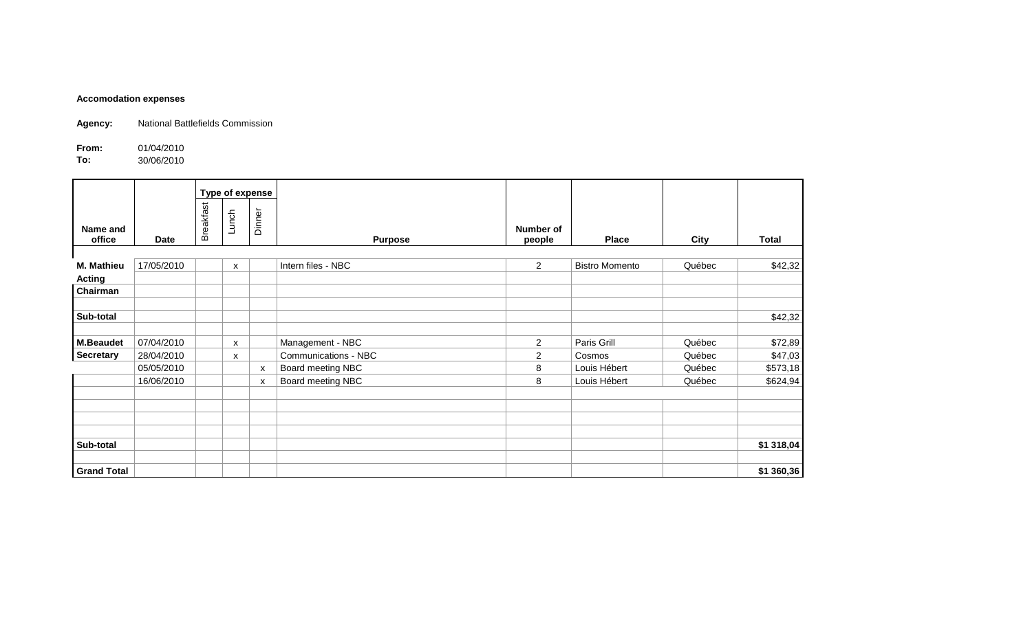## **Accomodation expenses**

**Agency:** National Battlefields Commission

**From:** 01/04/2010<br>**To:** 30/06/2010 **To:** 30/06/2010

|                    |             |                  | Type of expense           |                           |                      |                     |                       |        |            |
|--------------------|-------------|------------------|---------------------------|---------------------------|----------------------|---------------------|-----------------------|--------|------------|
| Name and<br>office | <b>Date</b> | <b>Breakfast</b> | Lunch                     | Dinner                    | <b>Purpose</b>       | Number of<br>people | <b>Place</b>          | City   | Total      |
|                    |             |                  |                           |                           |                      |                     |                       |        |            |
| M. Mathieu         | 17/05/2010  |                  | X                         |                           | Intern files - NBC   | 2 <sup>1</sup>      | <b>Bistro Momento</b> | Québec | \$42,32    |
| <b>Acting</b>      |             |                  |                           |                           |                      |                     |                       |        |            |
| Chairman           |             |                  |                           |                           |                      |                     |                       |        |            |
| Sub-total          |             |                  |                           |                           |                      |                     |                       |        | \$42,32    |
| <b>M.Beaudet</b>   | 07/04/2010  |                  | $\boldsymbol{\mathsf{x}}$ |                           | Management - NBC     | $\overline{2}$      | Paris Grill           | Québec | \$72,89    |
| <b>Secretary</b>   | 28/04/2010  |                  | x                         |                           | Communications - NBC | $\overline{2}$      | Cosmos                | Québec | \$47,03    |
|                    | 05/05/2010  |                  |                           | X                         | Board meeting NBC    | 8                   | Louis Hébert          | Québec | \$573,18   |
|                    | 16/06/2010  |                  |                           | $\boldsymbol{\mathsf{x}}$ | Board meeting NBC    | 8                   | Louis Hébert          | Québec | \$624,94   |
|                    |             |                  |                           |                           |                      |                     |                       |        |            |
|                    |             |                  |                           |                           |                      |                     |                       |        |            |
| Sub-total          |             |                  |                           |                           |                      |                     |                       |        | \$1 318,04 |
| <b>Grand Total</b> |             |                  |                           |                           |                      |                     |                       |        | \$1 360,36 |